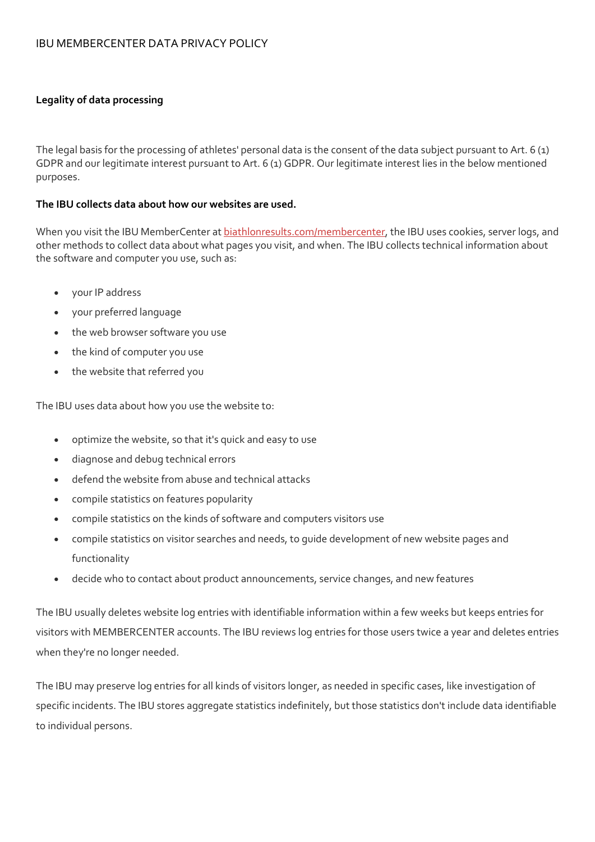## IBU MEMBERCENTER DATA PRIVACY POLICY

### **Legality of data processing**

The legal basis for the processing of athletes' personal data is the consent of the data subject pursuant to Art. 6 (1) GDPR and our legitimate interest pursuant to Art. 6 (1) GDPR. Our legitimate interest lies in the below mentioned purposes.

### **The IBU collects data about how our websites are used.**

When you visit the IBU MemberCenter at biathlonresults.com/membercenter, the IBU uses cookies, server logs, and other methods to collect data about what pages you visit, and when. The IBU collects technical information about the software and computer you use, such as:

- your IP address
- your preferred language
- the web browser software you use
- the kind of computer you use
- the website that referred you

The IBU uses data about how you use the website to:

- optimize the website, so that it's quick and easy to use
- diagnose and debug technical errors
- defend the website from abuse and technical attacks
- compile statistics on features popularity
- compile statistics on the kinds of software and computers visitors use
- compile statistics on visitor searches and needs, to guide development of new website pages and functionality
- decide who to contact about product announcements, service changes, and new features

The IBU usually deletes website log entries with identifiable information within a few weeks but keeps entries for visitors with MEMBERCENTER accounts. The IBU reviews log entries for those users twice a year and deletes entries when they're no longer needed.

The IBU may preserve log entries for all kinds of visitors longer, as needed in specific cases, like investigation of specific incidents. The IBU stores aggregate statistics indefinitely, but those statistics don't include data identifiable to individual persons.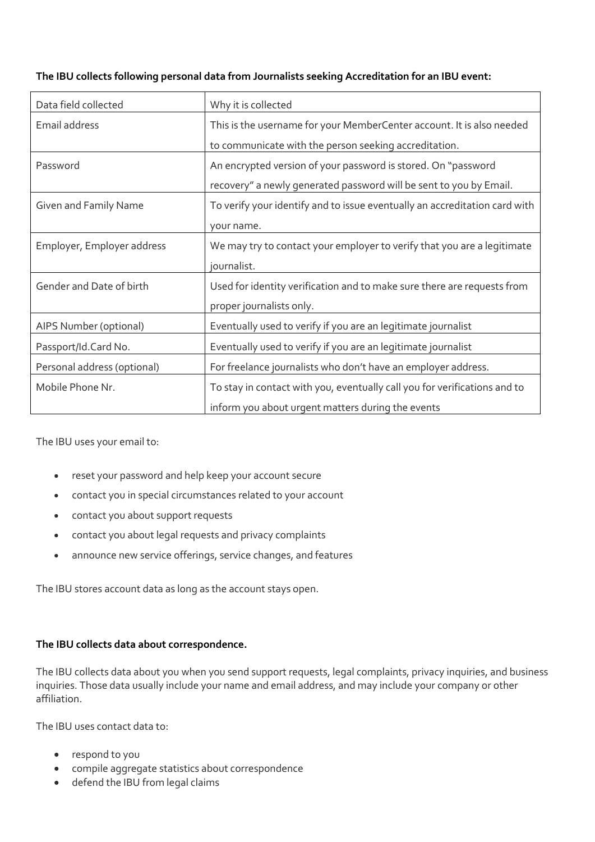| Data field collected        | Why it is collected                                                        |
|-----------------------------|----------------------------------------------------------------------------|
| Email address               | This is the username for your MemberCenter account. It is also needed      |
|                             | to communicate with the person seeking accreditation.                      |
| Password                    | An encrypted version of your password is stored. On "password              |
|                             | recovery" a newly generated password will be sent to you by Email.         |
| Given and Family Name       | To verify your identify and to issue eventually an accreditation card with |
|                             | your name.                                                                 |
| Employer, Employer address  | We may try to contact your employer to verify that you are a legitimate    |
|                             | journalist.                                                                |
| Gender and Date of birth    | Used for identity verification and to make sure there are requests from    |
|                             | proper journalists only.                                                   |
| AIPS Number (optional)      | Eventually used to verify if you are an legitimate journalist              |
| Passport/Id.Card No.        | Eventually used to verify if you are an legitimate journalist              |
| Personal address (optional) | For freelance journalists who don't have an employer address.              |
| Mobile Phone Nr.            | To stay in contact with you, eventually call you for verifications and to  |
|                             | inform you about urgent matters during the events                          |

# **The IBU collects following personal data from Journalists seeking Accreditation for an IBU event:**

The IBU uses your email to:

- reset your password and help keep your account secure
- contact you in special circumstances related to your account
- contact you about support requests
- contact you about legal requests and privacy complaints
- announce new service offerings, service changes, and features

The IBU stores account data as long as the account stays open.

## **The IBU collects data about correspondence.**

The IBU collects data about you when you send support requests, legal complaints, privacy inquiries, and business inquiries. Those data usually include your name and email address, and may include your company or other affiliation.

The IBU uses contact data to:

- respond to you
- compile aggregate statistics about correspondence
- defend the IBU from legal claims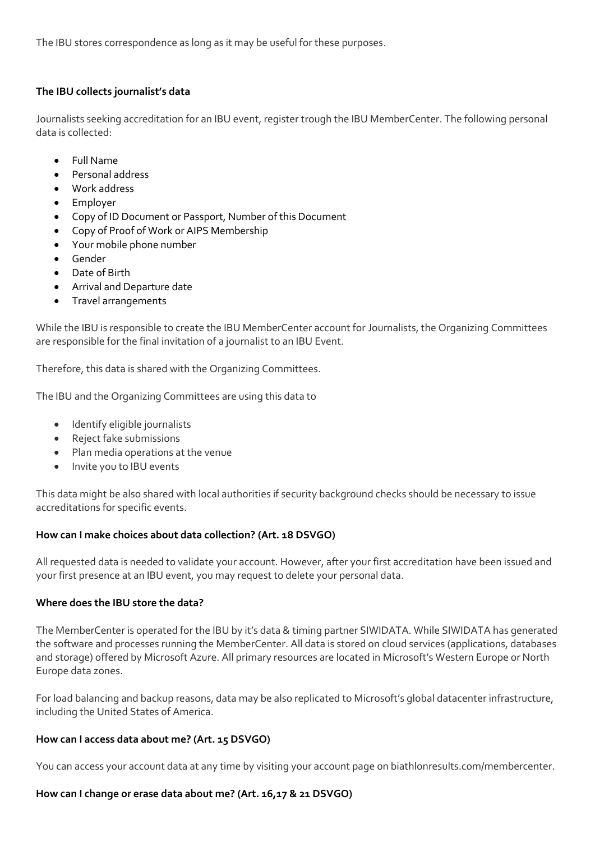The IBU stores correspondence as long as it may be useful for these purposes.

## **The IBU collects journalist's data**

Journalists seeking accreditation for an IBU event, register trough the IBU MemberCenter. The following personal data is collected:

- Full Name
- Personal address
- Work address
- Employer
- Copy of ID Document or Passport, Number of this Document
- Copy of Proof of Work or AIPS Membership
- Your mobile phone number
- Gender
- Date of Birth
- Arrival and Departure date
- Travel arrangements

While the IBU is responsible to create the IBU MemberCenter account for Journalists, the Organizing Committees are responsible for the final invitation of a journalist to an IBU Event.

Therefore, this data is shared with the Organizing Committees.

The IBU and the Organizing Committees are using this data to

- Identify eligible journalists
- Reject fake submissions
- Plan media operations at the venue
- Invite you to IBU events

This data might be also shared with local authorities if security background checks should be necessary to issue accreditations for specific events.

### **How can I make choices about data collection? (Art. 18 DSVGO)**

All requested data is needed to validate your account. However, after your first accreditation have been issued and your first presence at an IBU event, you may request to delete your personal data.

### **Where does the IBU store the data?**

The MemberCenter is operated for the IBU by it's data & timing partner SIWIDATA. While SIWIDATA has generated the software and processes running the MemberCenter. All data is stored on cloud services (applications, databases and storage) offered by Microsoft Azure. All primary resources are located in Microsoft's Western Europe or North Europe data zones.

For load balancing and backup reasons, data may be also replicated to Microsoft's global datacenter infrastructure, including the United States of America.

### **How can I access data about me? (Art. 15 DSVGO)**

You can access your account data at any time by visiting your account page on biathlonresults.com/membercenter.

### **How can I change or erase data about me? (Art. 16,17 & 21 DSVGO)**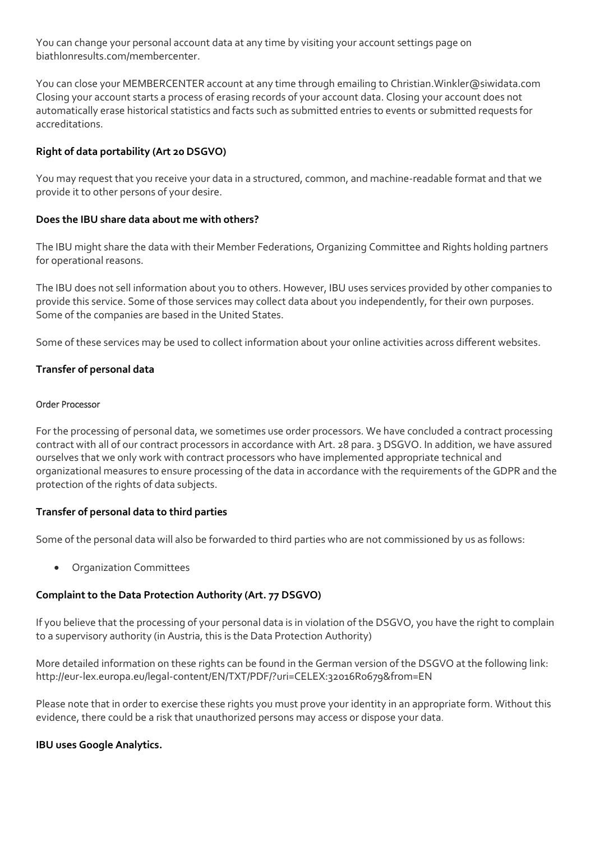You can change your personal account data at any time by visiting your account settings page on biathlonresults.com/membercenter.

You can close your MEMBERCENTER account at any time through emailing to Christian.Winkler@siwidata.com Closing your account starts a process of erasing records of your account data. Closing your account does not automatically erase historical statistics and facts such as submitted entries to events or submitted requests for accreditations.

## **Right of data portability (Art 20 DSGVO)**

You may request that you receive your data in a structured, common, and machine-readable format and that we provide it to other persons of your desire.

## **Does the IBU share data about me with others?**

The IBU might share the data with their Member Federations, Organizing Committee and Rights holding partners for operational reasons.

The IBU does not sell information about you to others. However, IBU uses services provided by other companies to provide this service. Some of those services may collect data about you independently, for their own purposes. Some of the companies are based in the United States.

Some of these services may be used to collect information about your online activities across different websites.

## **Transfer of personal data**

#### Order Processor

For the processing of personal data, we sometimes use order processors. We have concluded a contract processing contract with all of our contract processors in accordance with Art. 28 para. 3 DSGVO. In addition, we have assured ourselves that we only work with contract processors who have implemented appropriate technical and organizational measures to ensure processing of the data in accordance with the requirements of the GDPR and the protection of the rights of data subjects.

### **Transfer of personal data to third parties**

Some of the personal data will also be forwarded to third parties who are not commissioned by us as follows:

Organization Committees

## **Complaint to the Data Protection Authority (Art. 77 DSGVO)**

If you believe that the processing of your personal data is in violation of the DSGVO, you have the right to complain to a supervisory authority (in Austria, this is the Data Protection Authority)

More detailed information on these rights can be found in the German version of the DSGVO at the following link: <http://eur-lex.europa.eu/legal-content/EN/TXT/PDF/?uri=CELEX:32016R0679&from=EN>

Please note that in order to exercise these rights you must prove your identity in an appropriate form. Without this evidence, there could be a risk that unauthorized persons may access or dispose your data.

## **IBU uses Google Analytics.**